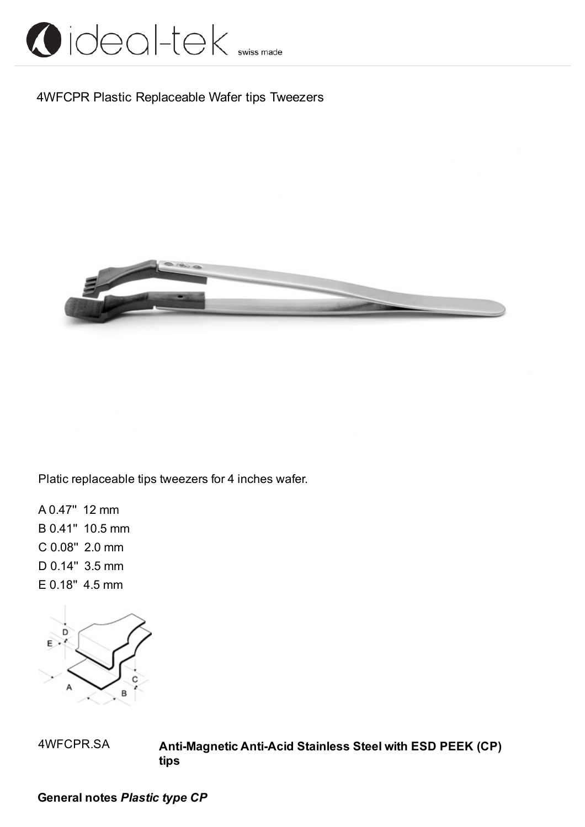

### 4WFCPR Plastic Replaceable Wafer tips Tweezers



Platic replaceable tips tweezers for 4 inches wafer.

A 0.47'' 12 mm B 0.41'' 10.5 mm C 0.08'' 2.0 mm D 0.14'' 3.5 mm E 0.18'' 4.5 mm



4WFCPR.SA **Anti-Magnetic Anti-Acid Stainless Steel with ESD PEEK (CP) tips**

**General notes** *Plastic type CP*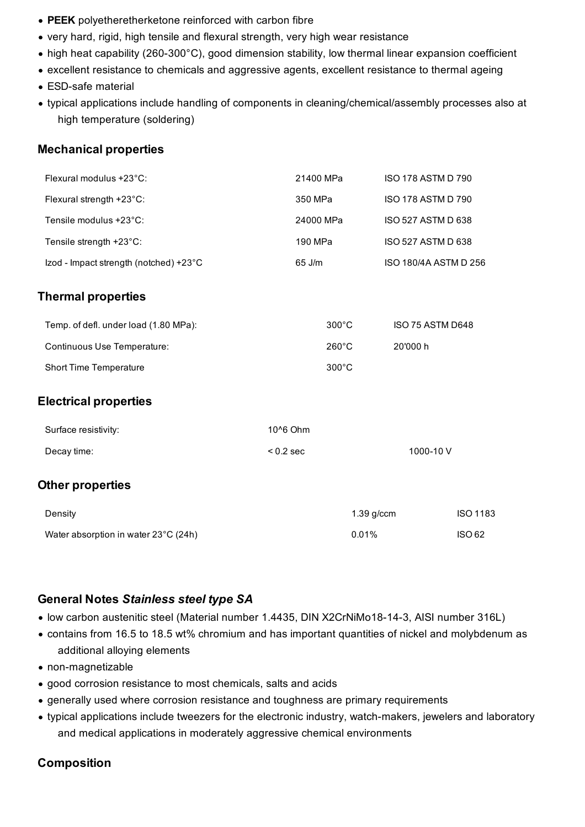- **PEEK** polyetheretherketone reinforced with carbon fibre
- very hard, rigid, high tensile and flexural strength, very high wear resistance
- high heat capability (260-300°C), good dimension stability, low thermal linear expansion coefficient
- excellent resistance to chemicals and aggressive agents, excellent resistance to thermal ageing
- ESD-safe material
- typical applications include handling of components in cleaning/chemical/assembly processes also at high temperature (soldering)

#### **Mechanical properties**

| Flexural modulus +23°C:                | 21400 MPa       | <b>ISO 178 ASTM D 790</b> |                 |
|----------------------------------------|-----------------|---------------------------|-----------------|
| Flexural strength +23°C:               | 350 MPa         | <b>ISO 178 ASTM D 790</b> |                 |
| Tensile modulus +23°C:                 | 24000 MPa       | <b>ISO 527 ASTM D 638</b> |                 |
| Tensile strength +23°C:                | 190 MPa         | ISO 527 ASTM D 638        |                 |
| Izod - Impact strength (notched) +23°C | 65 J/m          | ISO 180/4A ASTM D 256     |                 |
| <b>Thermal properties</b>              |                 |                           |                 |
| Temp. of defl. under load (1.80 MPa):  | $300^{\circ}$ C | ISO 75 ASTM D648          |                 |
| Continuous Use Temperature:            | 260°C           | 20'000 h                  |                 |
| <b>Short Time Temperature</b>          | 300°C           |                           |                 |
| <b>Electrical properties</b>           |                 |                           |                 |
| Surface resistivity:                   | 10^6 Ohm        |                           |                 |
| Decay time:                            | $< 0.2$ sec     | 1000-10V                  |                 |
| <b>Other properties</b>                |                 |                           |                 |
| Density                                |                 | 1.39 g/ccm                | <b>ISO 1183</b> |
| Water absorption in water 23°C (24h)   |                 | 0.01%                     | <b>ISO 62</b>   |

#### **General Notes** *Stainless steel type SA*

- low carbon austenitic steel (Material number 1.4435, DIN X2CrNiMo18-14-3, AISI number 316L)
- contains from 16.5 to 18.5 wt% chromium and has important quantities of nickel and molybdenum as additional alloying elements
- non-magnetizable
- good corrosion resistance to most chemicals, salts and acids
- generally used where corrosion resistance and toughness are primary requirements
- typical applications include tweezers for the electronic industry, watch-makers, jewelers and laboratory and medical applications in moderately aggressive chemical environments

#### **Composition**